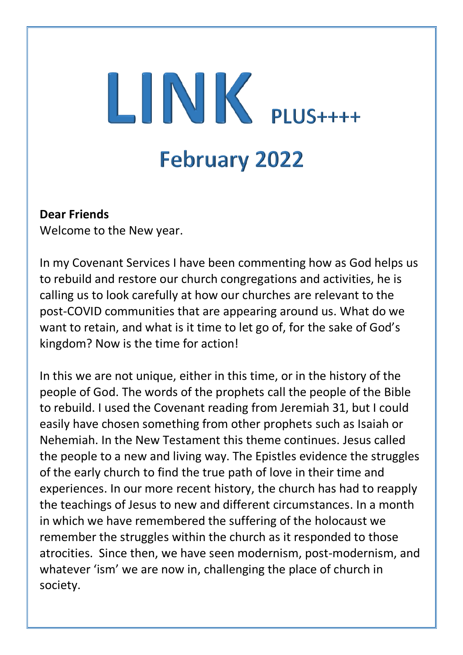# $LINK$  PLUS++++ **February 2022**

### **Dear Friends**

Welcome to the New year.

In my Covenant Services I have been commenting how as God helps us to rebuild and restore our church congregations and activities, he is calling us to look carefully at how our churches are relevant to the post-COVID communities that are appearing around us. What do we want to retain, and what is it time to let go of, for the sake of God's kingdom? Now is the time for action!

In this we are not unique, either in this time, or in the history of the people of God. The words of the prophets call the people of the Bible to rebuild. I used the Covenant reading from Jeremiah 31, but I could easily have chosen something from other prophets such as Isaiah or Nehemiah. In the New Testament this theme continues. Jesus called the people to a new and living way. The Epistles evidence the struggles of the early church to find the true path of love in their time and experiences. In our more recent history, the church has had to reapply the teachings of Jesus to new and different circumstances. In a month in which we have remembered the suffering of the holocaust we remember the struggles within the church as it responded to those atrocities. Since then, we have seen modernism, post-modernism, and whatever 'ism' we are now in, challenging the place of church in society.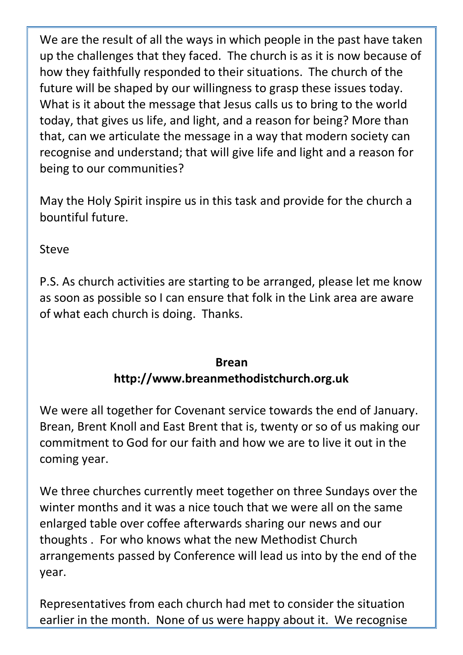We are the result of all the ways in which people in the past have taken up the challenges that they faced. The church is as it is now because of how they faithfully responded to their situations. The church of the future will be shaped by our willingness to grasp these issues today. What is it about the message that Jesus calls us to bring to the world today, that gives us life, and light, and a reason for being? More than that, can we articulate the message in a way that modern society can recognise and understand; that will give life and light and a reason for being to our communities?

May the Holy Spirit inspire us in this task and provide for the church a bountiful future.

Steve

P.S. As church activities are starting to be arranged, please let me know as soon as possible so I can ensure that folk in the Link area are aware of what each church is doing. Thanks.

### **Brean http://www.breanmethodistchurch.org.uk**

We were all together for Covenant service towards the end of January. Brean, Brent Knoll and East Brent that is, twenty or so of us making our commitment to God for our faith and how we are to live it out in the coming year.

We three churches currently meet together on three Sundays over the winter months and it was a nice touch that we were all on the same enlarged table over coffee afterwards sharing our news and our thoughts . For who knows what the new Methodist Church arrangements passed by Conference will lead us into by the end of the year.

Representatives from each church had met to consider the situation earlier in the month. None of us were happy about it. We recognise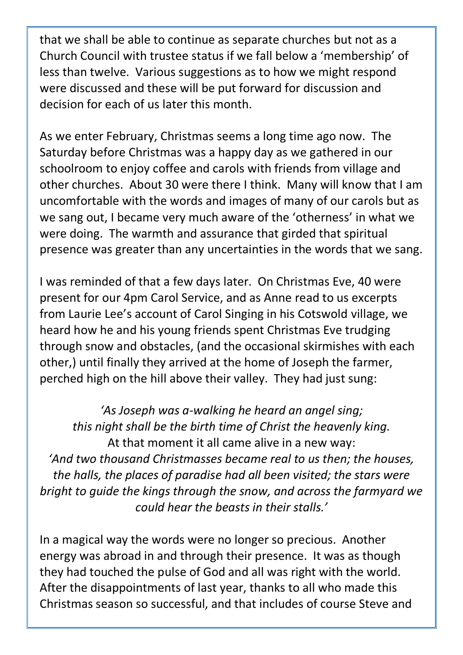that we shall be able to continue as separate churches but not as a Church Council with trustee status if we fall below a 'membership' of less than twelve. Various suggestions as to how we might respond were discussed and these will be put forward for discussion and decision for each of us later this month.

As we enter February, Christmas seems a long time ago now. The Saturday before Christmas was a happy day as we gathered in our schoolroom to enjoy coffee and carols with friends from village and other churches. About 30 were there I think. Many will know that I am uncomfortable with the words and images of many of our carols but as we sang out, I became very much aware of the 'otherness' in what we were doing. The warmth and assurance that girded that spiritual presence was greater than any uncertainties in the words that we sang.

I was reminded of that a few days later. On Christmas Eve, 40 were present for our 4pm Carol Service, and as Anne read to us excerpts from Laurie Lee's account of Carol Singing in his Cotswold village, we heard how he and his young friends spent Christmas Eve trudging through snow and obstacles, (and the occasional skirmishes with each other,) until finally they arrived at the home of Joseph the farmer, perched high on the hill above their valley. They had just sung:

*'As Joseph was a-walking he heard an angel sing; this night shall be the birth time of Christ the heavenly king.* At that moment it all came alive in a new way: *'And two thousand Christmasses became real to us then; the houses, the halls, the places of paradise had all been visited; the stars were bright to guide the kings through the snow, and across the farmyard we could hear the beasts in their stalls.'*

In a magical way the words were no longer so precious. Another energy was abroad in and through their presence. It was as though they had touched the pulse of God and all was right with the world. After the disappointments of last year, thanks to all who made this Christmas season so successful, and that includes of course Steve and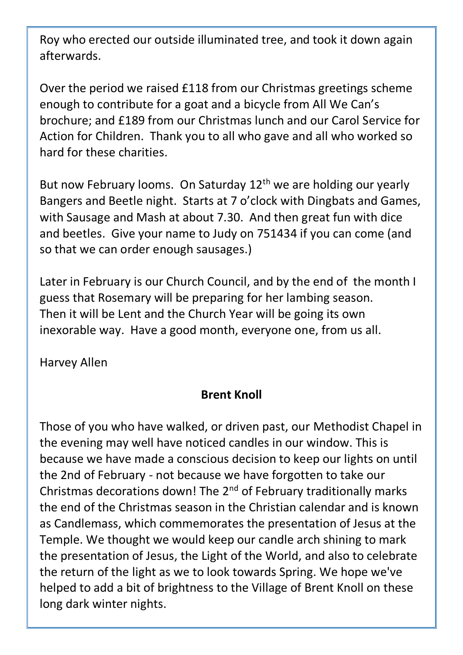Roy who erected our outside illuminated tree, and took it down again afterwards.

Over the period we raised £118 from our Christmas greetings scheme enough to contribute for a goat and a bicycle from All We Can's brochure; and £189 from our Christmas lunch and our Carol Service for Action for Children. Thank you to all who gave and all who worked so hard for these charities.

But now February looms. On Saturday 12<sup>th</sup> we are holding our yearly Bangers and Beetle night. Starts at 7 o'clock with Dingbats and Games, with Sausage and Mash at about 7.30. And then great fun with dice and beetles. Give your name to Judy on 751434 if you can come (and so that we can order enough sausages.)

Later in February is our Church Council, and by the end of the month I guess that Rosemary will be preparing for her lambing season. Then it will be Lent and the Church Year will be going its own inexorable way. Have a good month, everyone one, from us all.

Harvey Allen

### **Brent Knoll**

Those of you who have walked, or driven past, our Methodist Chapel in the evening may well have noticed candles in our window. This is because we have made a conscious decision to keep our lights on until the 2nd of February - not because we have forgotten to take our Christmas decorations down! The 2<sup>nd</sup> of February traditionally marks the end of the Christmas season in the Christian calendar and is known as Candlemass, which commemorates the presentation of Jesus at the Temple. We thought we would keep our candle arch shining to mark the presentation of Jesus, the Light of the World, and also to celebrate the return of the light as we to look towards Spring. We hope we've helped to add a bit of brightness to the Village of Brent Knoll on these long dark winter nights.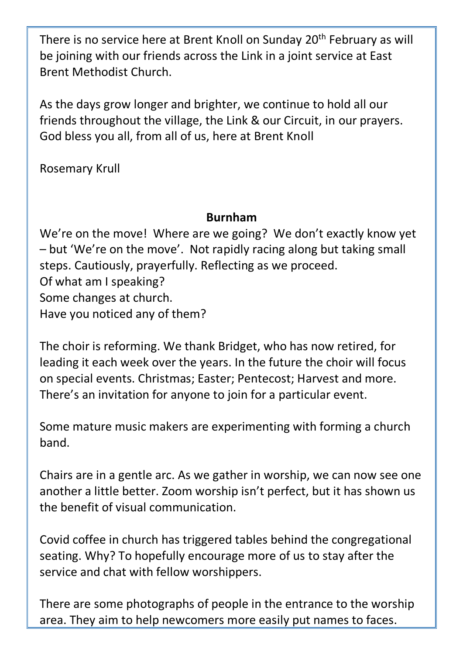There is no service here at Brent Knoll on Sunday 20<sup>th</sup> February as will be joining with our friends across the Link in a joint service at East Brent Methodist Church.

As the days grow longer and brighter, we continue to hold all our friends throughout the village, the Link & our Circuit, in our prayers. God bless you all, from all of us, here at Brent Knoll

Rosemary Krull

### **Burnham**

We're on the move! Where are we going? We don't exactly know yet – but 'We're on the move'. Not rapidly racing along but taking small steps. Cautiously, prayerfully. Reflecting as we proceed. Of what am I speaking? Some changes at church. Have you noticed any of them?

The choir is reforming. We thank Bridget, who has now retired, for leading it each week over the years. In the future the choir will focus on special events. Christmas; Easter; Pentecost; Harvest and more. There's an invitation for anyone to join for a particular event.

Some mature music makers are experimenting with forming a church band.

Chairs are in a gentle arc. As we gather in worship, we can now see one another a little better. Zoom worship isn't perfect, but it has shown us the benefit of visual communication.

Covid coffee in church has triggered tables behind the congregational seating. Why? To hopefully encourage more of us to stay after the service and chat with fellow worshippers.

There are some photographs of people in the entrance to the worship area. They aim to help newcomers more easily put names to faces.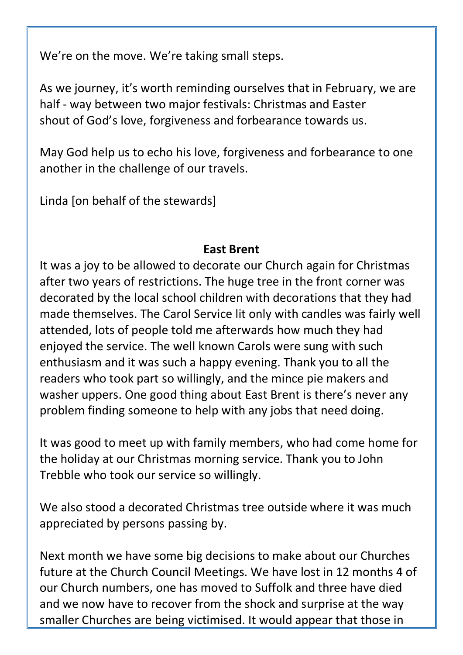We're on the move. We're taking small steps.

As we journey, it's worth reminding ourselves that in February, we are half - way between two major festivals: Christmas and Easter shout of God's love, forgiveness and forbearance towards us.

May God help us to echo his love, forgiveness and forbearance to one another in the challenge of our travels.

Linda [on behalf of the stewards]

### **East Brent**

It was a joy to be allowed to decorate our Church again for Christmas after two years of restrictions. The huge tree in the front corner was decorated by the local school children with decorations that they had made themselves. The Carol Service lit only with candles was fairly well attended, lots of people told me afterwards how much they had enjoyed the service. The well known Carols were sung with such enthusiasm and it was such a happy evening. Thank you to all the readers who took part so willingly, and the mince pie makers and washer uppers. One good thing about East Brent is there's never any problem finding someone to help with any jobs that need doing.

It was good to meet up with family members, who had come home for the holiday at our Christmas morning service. Thank you to John Trebble who took our service so willingly.

We also stood a decorated Christmas tree outside where it was much appreciated by persons passing by.

Next month we have some big decisions to make about our Churches future at the Church Council Meetings. We have lost in 12 months 4 of our Church numbers, one has moved to Suffolk and three have died and we now have to recover from the shock and surprise at the way smaller Churches are being victimised. It would appear that those in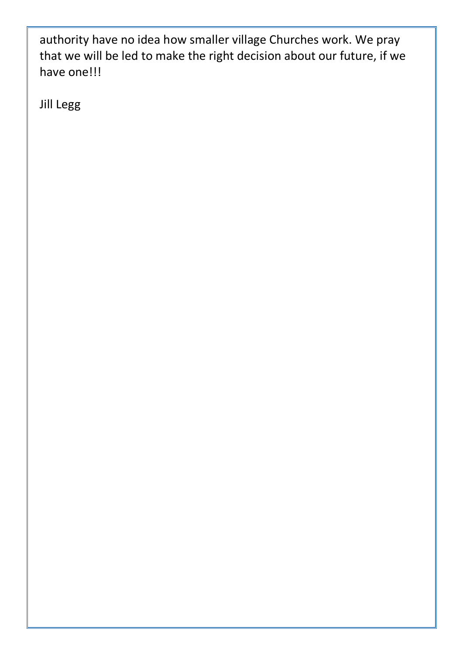authority have no idea how smaller village Churches work. We pray that we will be led to make the right decision about our future, if we have one!!!

Jill Legg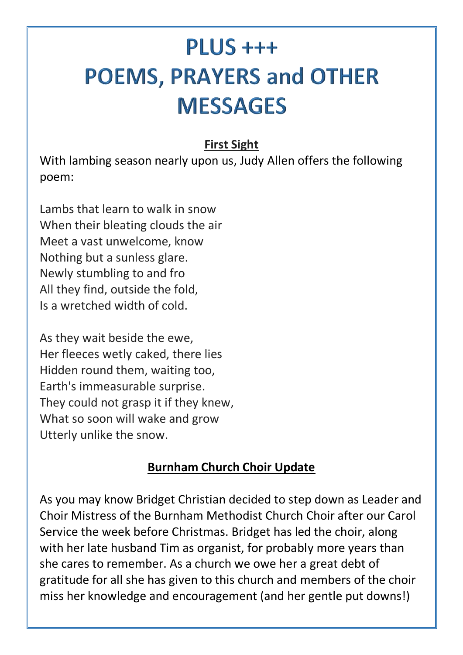## $PLUS +++$ **POEMS, PRAYERS and OTHER MESSAGES**

### **[First Sight](https://hellopoetry.com/poem/68923/first-sight/)**

With lambing season nearly upon us, Judy Allen offers the following poem:

Lambs that learn to walk in snow When their bleating clouds the air Meet a vast unwelcome, know Nothing but a sunless glare. Newly stumbling to and fro All they find, outside the fold, Is a wretched width of cold.

As they wait beside the ewe, Her fleeces wetly caked, there lies Hidden round them, waiting too, Earth's immeasurable surprise. They could not grasp it if they knew, What so soon will wake and grow Utterly unlike the snow.

### **Burnham Church Choir Update**

As you may know Bridget Christian decided to step down as Leader and Choir Mistress of the Burnham Methodist Church Choir after our Carol Service the week before Christmas. Bridget has led the choir, along with her late husband Tim as organist, for probably more years than she cares to remember. As a church we owe her a great debt of gratitude for all she has given to this church and members of the choir miss her knowledge and encouragement (and her gentle put downs!)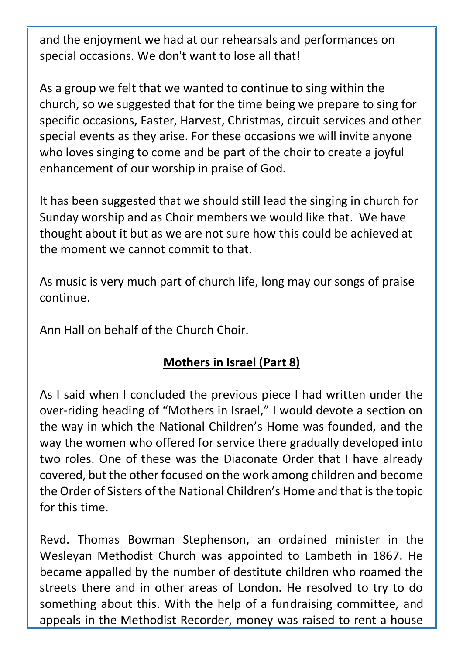and the enjoyment we had at our rehearsals and performances on special occasions. We don't want to lose all that!

As a group we felt that we wanted to continue to sing within the church, so we suggested that for the time being we prepare to sing for specific occasions, Easter, Harvest, Christmas, circuit services and other special events as they arise. For these occasions we will invite anyone who loves singing to come and be part of the choir to create a joyful enhancement of our worship in praise of God.

It has been suggested that we should still lead the singing in church for Sunday worship and as Choir members we would like that. We have thought about it but as we are not sure how this could be achieved at the moment we cannot commit to that.

As music is very much part of church life, long may our songs of praise continue.

Ann Hall on behalf of the Church Choir.

### **Mothers in Israel (Part 8)**

As I said when I concluded the previous piece I had written under the over-riding heading of "Mothers in Israel," I would devote a section on the way in which the National Children's Home was founded, and the way the women who offered for service there gradually developed into two roles. One of these was the Diaconate Order that I have already covered, but the other focused on the work among children and become the Order of Sisters of the National Children's Home and that is the topic for this time.

Revd. Thomas Bowman Stephenson, an ordained minister in the Wesleyan Methodist Church was appointed to Lambeth in 1867. He became appalled by the number of destitute children who roamed the streets there and in other areas of London. He resolved to try to do something about this. With the help of a fundraising committee, and appeals in the Methodist Recorder, money was raised to rent a house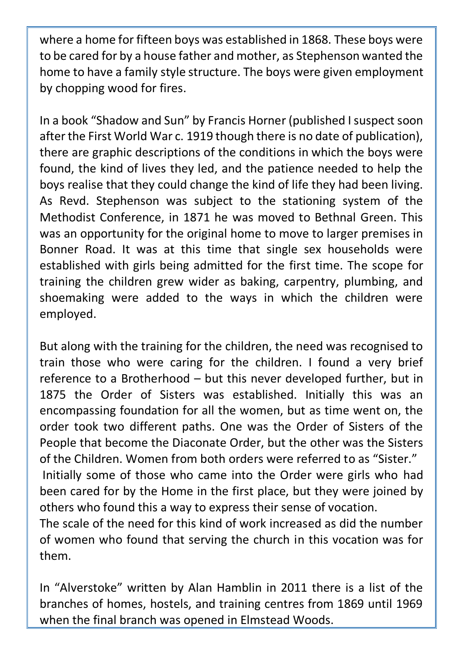where a home for fifteen boys was established in 1868. These boys were to be cared for by a house father and mother, as Stephenson wanted the home to have a family style structure. The boys were given employment by chopping wood for fires.

In a book "Shadow and Sun" by Francis Horner (published I suspect soon after the First World War c. 1919 though there is no date of publication), there are graphic descriptions of the conditions in which the boys were found, the kind of lives they led, and the patience needed to help the boys realise that they could change the kind of life they had been living. As Revd. Stephenson was subject to the stationing system of the Methodist Conference, in 1871 he was moved to Bethnal Green. This was an opportunity for the original home to move to larger premises in Bonner Road. It was at this time that single sex households were established with girls being admitted for the first time. The scope for training the children grew wider as baking, carpentry, plumbing, and shoemaking were added to the ways in which the children were employed.

But along with the training for the children, the need was recognised to train those who were caring for the children. I found a very brief reference to a Brotherhood – but this never developed further, but in 1875 the Order of Sisters was established. Initially this was an encompassing foundation for all the women, but as time went on, the order took two different paths. One was the Order of Sisters of the People that become the Diaconate Order, but the other was the Sisters of the Children. Women from both orders were referred to as "Sister." Initially some of those who came into the Order were girls who had been cared for by the Home in the first place, but they were joined by others who found this a way to express their sense of vocation. The scale of the need for this kind of work increased as did the number of women who found that serving the church in this vocation was for them.

In "Alverstoke" written by Alan Hamblin in 2011 there is a list of the branches of homes, hostels, and training centres from 1869 until 1969 when the final branch was opened in Elmstead Woods.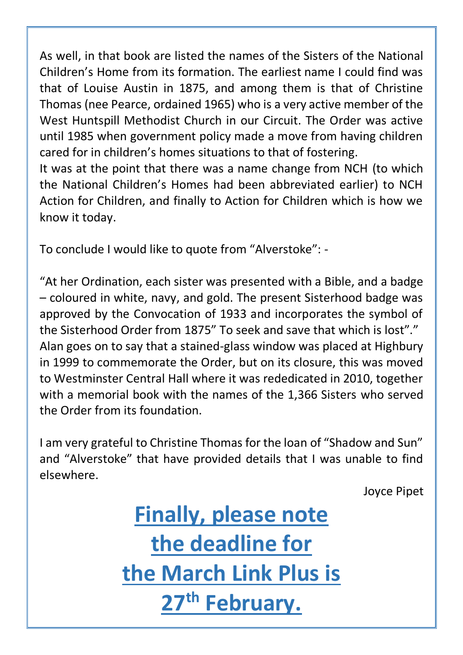As well, in that book are listed the names of the Sisters of the National Children's Home from its formation. The earliest name I could find was that of Louise Austin in 1875, and among them is that of Christine Thomas (nee Pearce, ordained 1965) who is a very active member of the West Huntspill Methodist Church in our Circuit. The Order was active until 1985 when government policy made a move from having children cared for in children's homes situations to that of fostering.

It was at the point that there was a name change from NCH (to which the National Children's Homes had been abbreviated earlier) to NCH Action for Children, and finally to Action for Children which is how we know it today.

To conclude I would like to quote from "Alverstoke": -

"At her Ordination, each sister was presented with a Bible, and a badge – coloured in white, navy, and gold. The present Sisterhood badge was approved by the Convocation of 1933 and incorporates the symbol of the Sisterhood Order from 1875" To seek and save that which is lost"." Alan goes on to say that a stained-glass window was placed at Highbury in 1999 to commemorate the Order, but on its closure, this was moved to Westminster Central Hall where it was rededicated in 2010, together with a memorial book with the names of the 1,366 Sisters who served the Order from its foundation.

I am very grateful to Christine Thomas for the loan of "Shadow and Sun" and "Alverstoke" that have provided details that I was unable to find elsewhere.

Joyce Pipet

**Finally, please note the deadline for the March Link Plus is 27th February.**